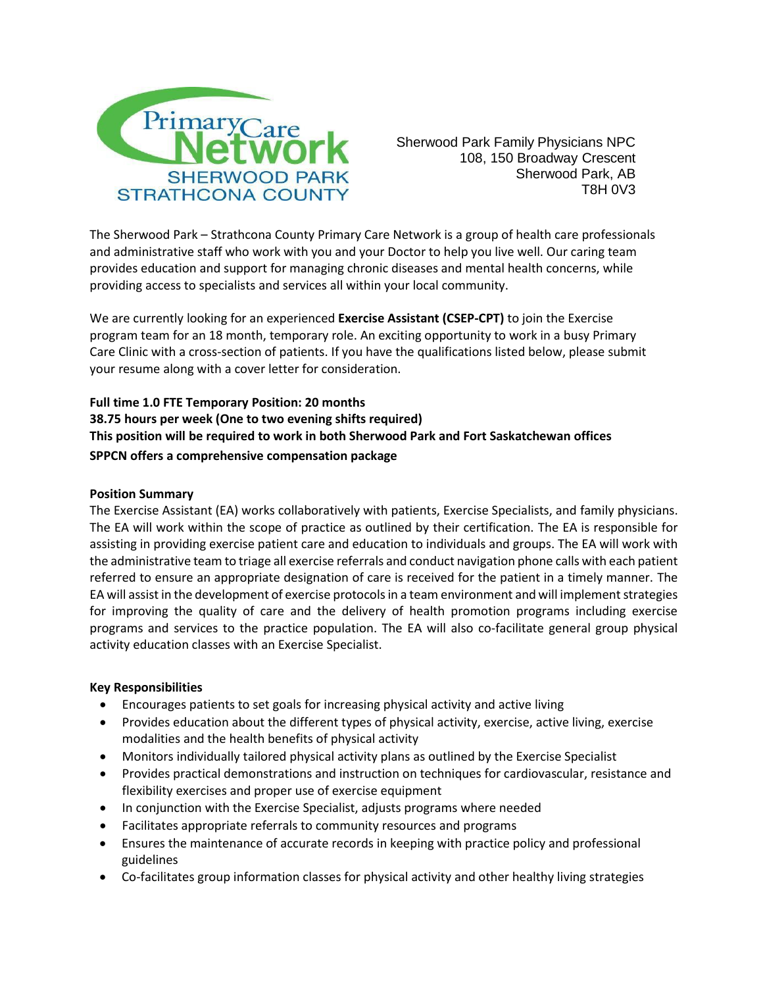

Sherwood Park Family Physicians NPC 108, 150 Broadway Crescent Sherwood Park, AB T8H 0V3

The Sherwood Park – Strathcona County Primary Care Network is a group of health care professionals and administrative staff who work with you and your Doctor to help you live well. Our caring team provides education and support for managing chronic diseases and mental health concerns, while providing access to specialists and services all within your local community.

We are currently looking for an experienced **Exercise Assistant (CSEP-CPT)** to join the Exercise program team for an 18 month, temporary role. An exciting opportunity to work in a busy Primary Care Clinic with a cross-section of patients. If you have the qualifications listed below, please submit your resume along with a cover letter for consideration.

**Full time 1.0 FTE Temporary Position: 20 months 38.75 hours per week (One to two evening shifts required) This position will be required to work in both Sherwood Park and Fort Saskatchewan offices SPPCN offers a comprehensive compensation package**

# **Position Summary**

The Exercise Assistant (EA) works collaboratively with patients, Exercise Specialists, and family physicians. The EA will work within the scope of practice as outlined by their certification. The EA is responsible for assisting in providing exercise patient care and education to individuals and groups. The EA will work with the administrative team to triage all exercise referrals and conduct navigation phone calls with each patient referred to ensure an appropriate designation of care is received for the patient in a timely manner. The EA will assist in the development of exercise protocols in a team environment and will implement strategies for improving the quality of care and the delivery of health promotion programs including exercise programs and services to the practice population. The EA will also co-facilitate general group physical activity education classes with an Exercise Specialist.

### **Key Responsibilities**

- Encourages patients to set goals for increasing physical activity and active living
- Provides education about the different types of physical activity, exercise, active living, exercise modalities and the health benefits of physical activity
- Monitors individually tailored physical activity plans as outlined by the Exercise Specialist
- Provides practical demonstrations and instruction on techniques for cardiovascular, resistance and flexibility exercises and proper use of exercise equipment
- In conjunction with the Exercise Specialist, adjusts programs where needed
- Facilitates appropriate referrals to community resources and programs
- Ensures the maintenance of accurate records in keeping with practice policy and professional guidelines
- Co-facilitates group information classes for physical activity and other healthy living strategies